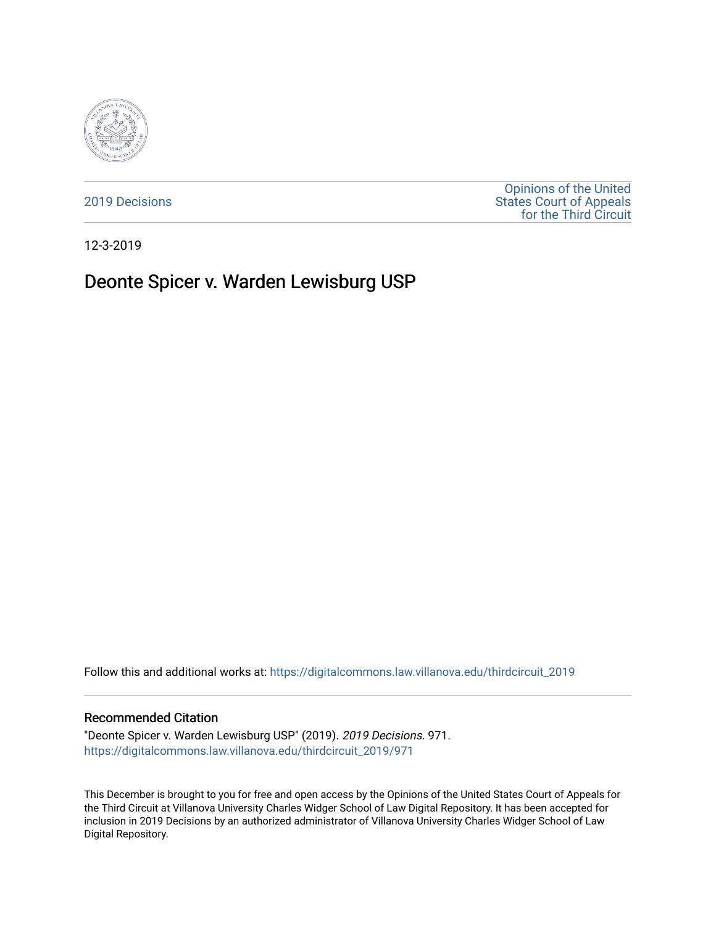

[2019 Decisions](https://digitalcommons.law.villanova.edu/thirdcircuit_2019)

[Opinions of the United](https://digitalcommons.law.villanova.edu/thirdcircuit)  [States Court of Appeals](https://digitalcommons.law.villanova.edu/thirdcircuit)  [for the Third Circuit](https://digitalcommons.law.villanova.edu/thirdcircuit) 

12-3-2019

# Deonte Spicer v. Warden Lewisburg USP

Follow this and additional works at: [https://digitalcommons.law.villanova.edu/thirdcircuit\\_2019](https://digitalcommons.law.villanova.edu/thirdcircuit_2019?utm_source=digitalcommons.law.villanova.edu%2Fthirdcircuit_2019%2F971&utm_medium=PDF&utm_campaign=PDFCoverPages) 

### Recommended Citation

"Deonte Spicer v. Warden Lewisburg USP" (2019). 2019 Decisions. 971. [https://digitalcommons.law.villanova.edu/thirdcircuit\\_2019/971](https://digitalcommons.law.villanova.edu/thirdcircuit_2019/971?utm_source=digitalcommons.law.villanova.edu%2Fthirdcircuit_2019%2F971&utm_medium=PDF&utm_campaign=PDFCoverPages)

This December is brought to you for free and open access by the Opinions of the United States Court of Appeals for the Third Circuit at Villanova University Charles Widger School of Law Digital Repository. It has been accepted for inclusion in 2019 Decisions by an authorized administrator of Villanova University Charles Widger School of Law Digital Repository.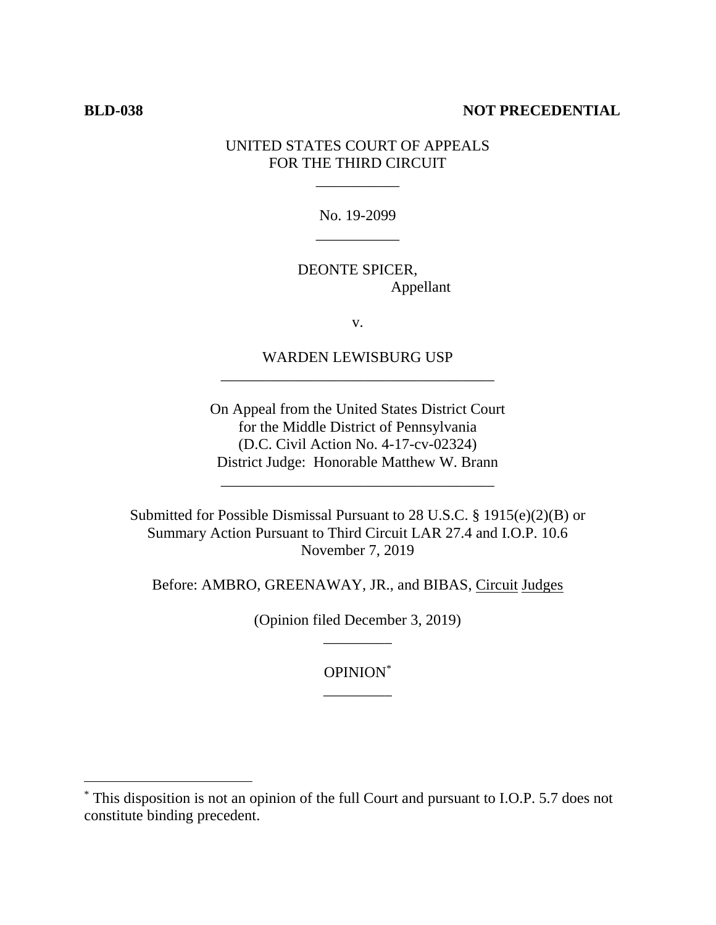# **BLD-038 NOT PRECEDENTIAL**

 $\overline{a}$ 

# UNITED STATES COURT OF APPEALS FOR THE THIRD CIRCUIT

\_\_\_\_\_\_\_\_\_\_\_

No. 19-2099 \_\_\_\_\_\_\_\_\_\_\_

DEONTE SPICER, Appellant

v.

WARDEN LEWISBURG USP \_\_\_\_\_\_\_\_\_\_\_\_\_\_\_\_\_\_\_\_\_\_\_\_\_\_\_\_\_\_\_\_\_\_\_\_

On Appeal from the United States District Court for the Middle District of Pennsylvania (D.C. Civil Action No. 4-17-cv-02324) District Judge: Honorable Matthew W. Brann

\_\_\_\_\_\_\_\_\_\_\_\_\_\_\_\_\_\_\_\_\_\_\_\_\_\_\_\_\_\_\_\_\_\_\_\_

Submitted for Possible Dismissal Pursuant to 28 U.S.C. § 1915(e)(2)(B) or Summary Action Pursuant to Third Circuit LAR 27.4 and I.O.P. 10.6 November 7, 2019

Before: AMBRO, GREENAWAY, JR., and BIBAS, Circuit Judges

(Opinion filed December 3, 2019) \_\_\_\_\_\_\_\_\_

> OPINION\* \_\_\_\_\_\_\_\_\_

<sup>\*</sup> This disposition is not an opinion of the full Court and pursuant to I.O.P. 5.7 does not constitute binding precedent.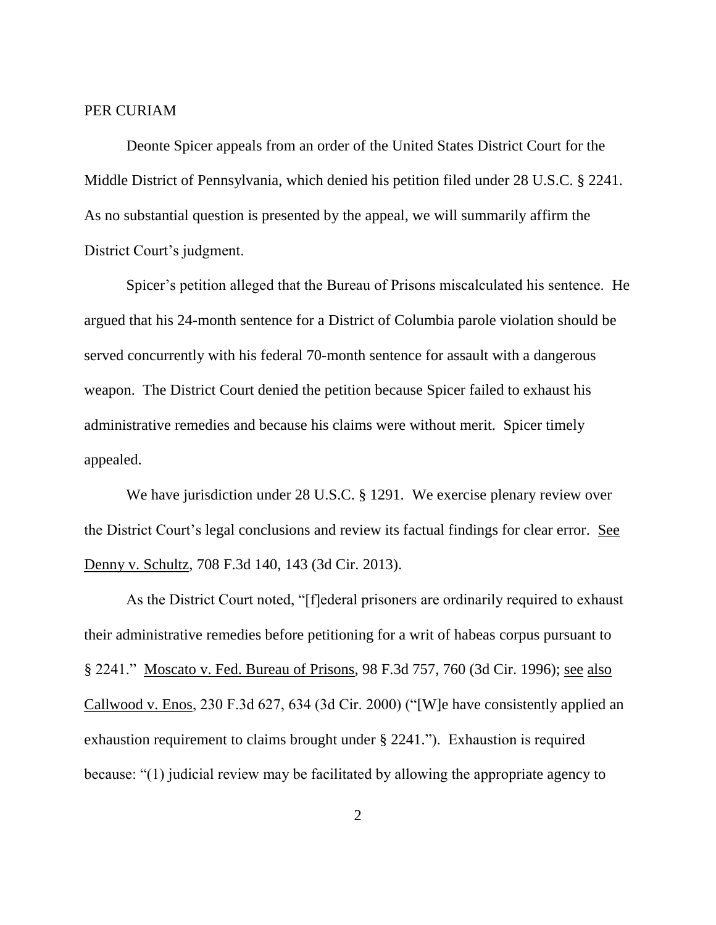## PER CURIAM

Deonte Spicer appeals from an order of the United States District Court for the Middle District of Pennsylvania, which denied his petition filed under 28 U.S.C. § 2241. As no substantial question is presented by the appeal, we will summarily affirm the District Court's judgment.

Spicer's petition alleged that the Bureau of Prisons miscalculated his sentence. He argued that his 24-month sentence for a District of Columbia parole violation should be served concurrently with his federal 70-month sentence for assault with a dangerous weapon. The District Court denied the petition because Spicer failed to exhaust his administrative remedies and because his claims were without merit. Spicer timely appealed.

We have jurisdiction under 28 U.S.C. § 1291. We exercise plenary review over the District Court's legal conclusions and review its factual findings for clear error. See Denny v. Schultz, 708 F.3d 140, 143 (3d Cir. 2013).

As the District Court noted, "[f]ederal prisoners are ordinarily required to exhaust their administrative remedies before petitioning for a writ of habeas corpus pursuant to § 2241." Moscato v. Fed. Bureau of Prisons, 98 F.3d 757, 760 (3d Cir. 1996); see also Callwood v. Enos, 230 F.3d 627, 634 (3d Cir. 2000) ("[W]e have consistently applied an exhaustion requirement to claims brought under § 2241."). Exhaustion is required because: "(1) judicial review may be facilitated by allowing the appropriate agency to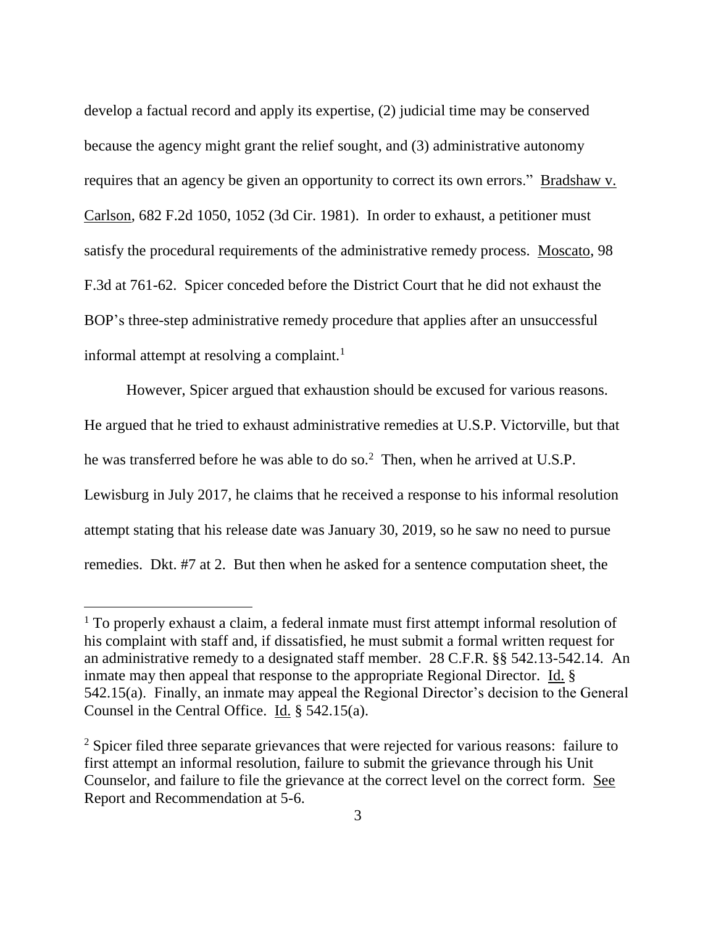develop a factual record and apply its expertise, (2) judicial time may be conserved because the agency might grant the relief sought, and (3) administrative autonomy requires that an agency be given an opportunity to correct its own errors." Bradshaw v. Carlson, 682 F.2d 1050, 1052 (3d Cir. 1981). In order to exhaust, a petitioner must satisfy the procedural requirements of the administrative remedy process. Moscato, 98 F.3d at 761-62. Spicer conceded before the District Court that he did not exhaust the BOP's three-step administrative remedy procedure that applies after an unsuccessful informal attempt at resolving a complaint.<sup>1</sup>

However, Spicer argued that exhaustion should be excused for various reasons. He argued that he tried to exhaust administrative remedies at U.S.P. Victorville, but that he was transferred before he was able to do so.<sup>2</sup> Then, when he arrived at U.S.P. Lewisburg in July 2017, he claims that he received a response to his informal resolution attempt stating that his release date was January 30, 2019, so he saw no need to pursue remedies. Dkt. #7 at 2. But then when he asked for a sentence computation sheet, the

 $\overline{a}$ 

<sup>1</sup> To properly exhaust a claim, a federal inmate must first attempt informal resolution of his complaint with staff and, if dissatisfied, he must submit a formal written request for an administrative remedy to a designated staff member. 28 C.F.R. §§ 542.13-542.14. An inmate may then appeal that response to the appropriate Regional Director. Id. § 542.15(a). Finally, an inmate may appeal the Regional Director's decision to the General Counsel in the Central Office. Id. § 542.15(a).

<sup>&</sup>lt;sup>2</sup> Spicer filed three separate grievances that were rejected for various reasons: failure to first attempt an informal resolution, failure to submit the grievance through his Unit Counselor, and failure to file the grievance at the correct level on the correct form. See Report and Recommendation at 5-6.